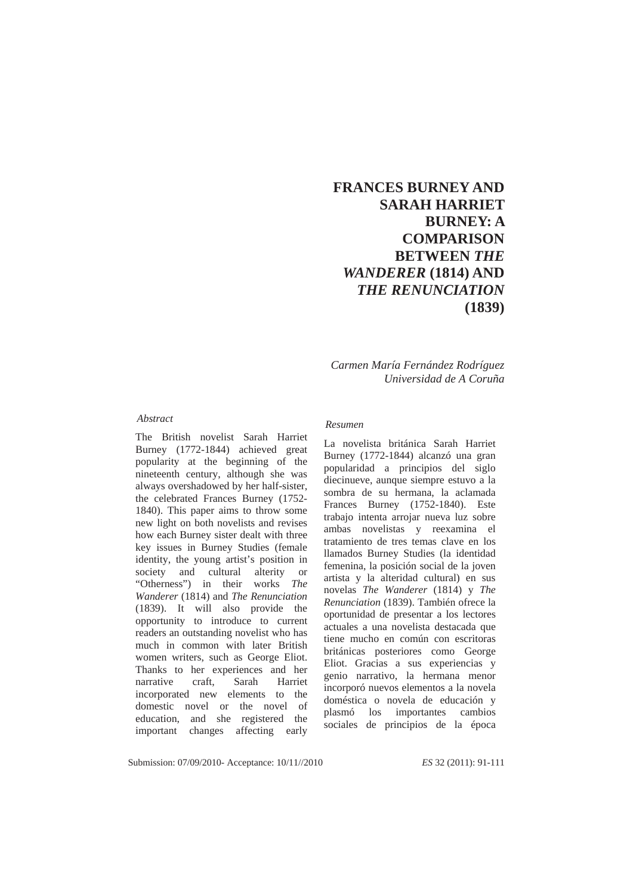# **FRANCES BURNEY AND SARAH HARRIET BURNEY: A COMPARISON BETWEEN** *THE WANDERER* **(1814) AND**  *THE RENUNCIATION* **(1839)**

*Carmen María Fernández Rodríguez Universidad de A Coruña* 

#### *Abstract*

The British novelist Sarah Harriet Burney (1772-1844) achieved great popularity at the beginning of the nineteenth century, although she was always overshadowed by her half-sister, the celebrated Frances Burney (1752- 1840). This paper aims to throw some new light on both novelists and revises how each Burney sister dealt with three key issues in Burney Studies (female identity, the young artist's position in society and cultural alterity or "Otherness") in their works *The Wanderer* (1814) and *The Renunciation* (1839). It will also provide the opportunity to introduce to current readers an outstanding novelist who has much in common with later British women writers, such as George Eliot. Thanks to her experiences and her narrative craft, Sarah Harriet incorporated new elements to the domestic novel or the novel of education, and she registered the important changes affecting early

#### *Resumen*

La novelista británica Sarah Harriet Burney (1772-1844) alcanzó una gran popularidad a principios del siglo diecinueve, aunque siempre estuvo a la sombra de su hermana, la aclamada Frances Burney (1752-1840). Este trabajo intenta arrojar nueva luz sobre ambas novelistas y reexamina el tratamiento de tres temas clave en los llamados Burney Studies (la identidad femenina, la posición social de la joven artista y la alteridad cultural) en sus novelas *The Wanderer* (1814) y *The Renunciation* (1839). También ofrece la oportunidad de presentar a los lectores actuales a una novelista destacada que tiene mucho en común con escritoras británicas posteriores como George Eliot. Gracias a sus experiencias y genio narrativo, la hermana menor incorporó nuevos elementos a la novela doméstica o novela de educación y plasmó los importantes cambios sociales de principios de la época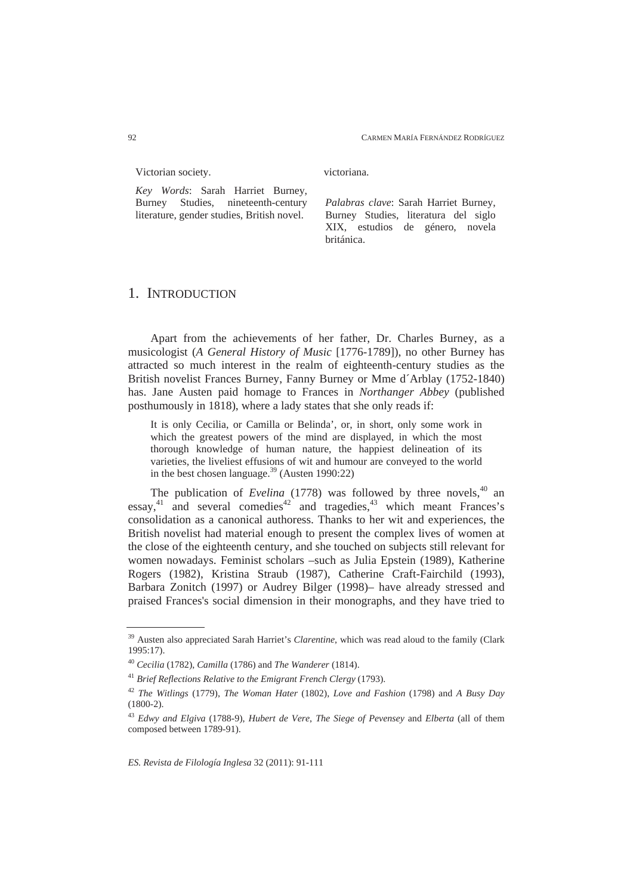Victorian society.

*Key Words*: Sarah Harriet Burney, Burney Studies, nineteenth-century literature, gender studies, British novel.

victoriana.

*Palabras clave*: Sarah Harriet Burney, Burney Studies, literatura del siglo XIX, estudios de género, novela británica.

### 1. INTRODUCTION

Apart from the achievements of her father, Dr. Charles Burney, as a musicologist (*A General History of Music* [1776-1789]), no other Burney has attracted so much interest in the realm of eighteenth-century studies as the British novelist Frances Burney, Fanny Burney or Mme d´Arblay (1752-1840) has. Jane Austen paid homage to Frances in *Northanger Abbey* (published posthumously in 1818), where a lady states that she only reads if:

It is only Cecilia, or Camilla or Belinda', or, in short, only some work in which the greatest powers of the mind are displayed, in which the most thorough knowledge of human nature, the happiest delineation of its varieties, the liveliest effusions of wit and humour are conveyed to the world in the best chosen language.<sup>39</sup> (Austen 1990:22)

The publication of *Evelina* (1778) was followed by three novels,<sup>40</sup> an essay,<sup>41</sup> and several comedies<sup>42</sup> and tragedies,<sup>43</sup> which meant Frances's consolidation as a canonical authoress. Thanks to her wit and experiences, the British novelist had material enough to present the complex lives of women at the close of the eighteenth century, and she touched on subjects still relevant for women nowadays. Feminist scholars –such as Julia Epstein (1989), Katherine Rogers (1982), Kristina Straub (1987), Catherine Craft-Fairchild (1993), Barbara Zonitch (1997) or Audrey Bilger (1998)– have already stressed and praised Frances's social dimension in their monographs, and they have tried to

<sup>39</sup> Austen also appreciated Sarah Harriet's *Clarentine*, which was read aloud to the family (Clark 1995:17).

<sup>40</sup> *Cecilia* (1782), *Camilla* (1786) and *The Wanderer* (1814).

<sup>41</sup> *Brief Reflections Relative to the Emigrant French Clergy* (1793).

<sup>42</sup> *The Witlings* (1779), *The Woman Hater* (1802), *Love and Fashion* (1798) and *A Busy Day* (1800-2).

<sup>43</sup> *Edwy and Elgiva* (1788-9), *Hubert de Vere*, *The Siege of Pevensey* and *Elberta* (all of them composed between 1789-91).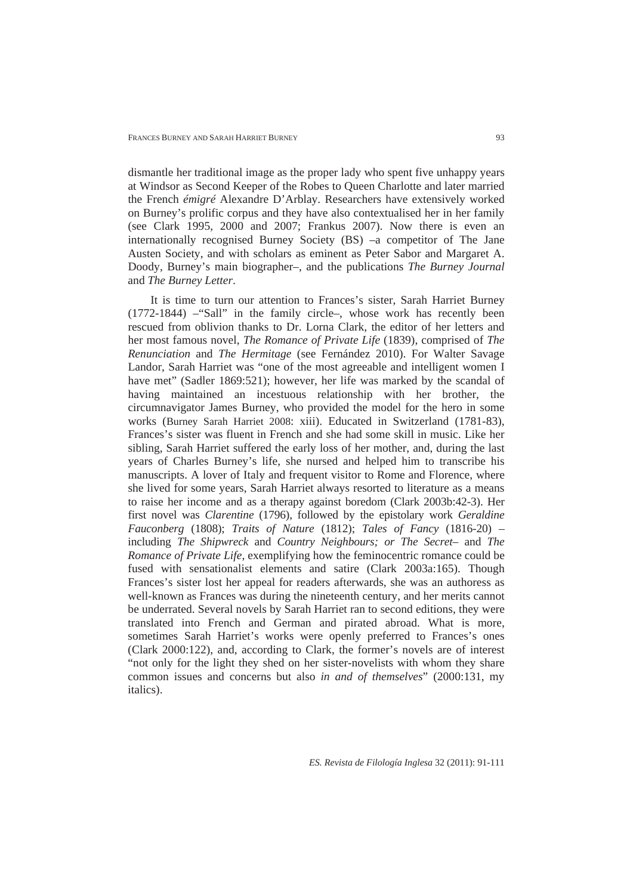dismantle her traditional image as the proper lady who spent five unhappy years at Windsor as Second Keeper of the Robes to Queen Charlotte and later married the French *émigré* Alexandre D'Arblay. Researchers have extensively worked on Burney's prolific corpus and they have also contextualised her in her family (see Clark 1995, 2000 and 2007; Frankus 2007). Now there is even an internationally recognised Burney Society (BS) –a competitor of The Jane Austen Society, and with scholars as eminent as Peter Sabor and Margaret A. Doody, Burney's main biographer–, and the publications *The Burney Journal* and *The Burney Letter*.

It is time to turn our attention to Frances's sister, Sarah Harriet Burney (1772-1844) –"Sall" in the family circle–, whose work has recently been rescued from oblivion thanks to Dr. Lorna Clark, the editor of her letters and her most famous novel, *The Romance of Private Life* (1839), comprised of *The Renunciation* and *The Hermitage* (see Fernández 2010). For Walter Savage Landor, Sarah Harriet was "one of the most agreeable and intelligent women I have met" (Sadler 1869:521); however, her life was marked by the scandal of having maintained an incestuous relationship with her brother, the circumnavigator James Burney, who provided the model for the hero in some works (Burney Sarah Harriet 2008: xiii). Educated in Switzerland (1781-83), Frances's sister was fluent in French and she had some skill in music. Like her sibling, Sarah Harriet suffered the early loss of her mother, and, during the last years of Charles Burney's life, she nursed and helped him to transcribe his manuscripts. A lover of Italy and frequent visitor to Rome and Florence, where she lived for some years, Sarah Harriet always resorted to literature as a means to raise her income and as a therapy against boredom (Clark 2003b:42-3). Her first novel was *Clarentine* (1796), followed by the epistolary work *Geraldine Fauconberg* (1808); *Traits of Nature* (1812); *Tales of Fancy* (1816-20) – including *The Shipwreck* and *Country Neighbours; or The Secret*– and *The Romance of Private Life*, exemplifying how the feminocentric romance could be fused with sensationalist elements and satire (Clark 2003a:165). Though Frances's sister lost her appeal for readers afterwards, she was an authoress as well-known as Frances was during the nineteenth century, and her merits cannot be underrated. Several novels by Sarah Harriet ran to second editions, they were translated into French and German and pirated abroad. What is more, sometimes Sarah Harriet's works were openly preferred to Frances's ones (Clark 2000:122), and, according to Clark, the former's novels are of interest "not only for the light they shed on her sister-novelists with whom they share common issues and concerns but also *in and of themselves*" (2000:131, my italics).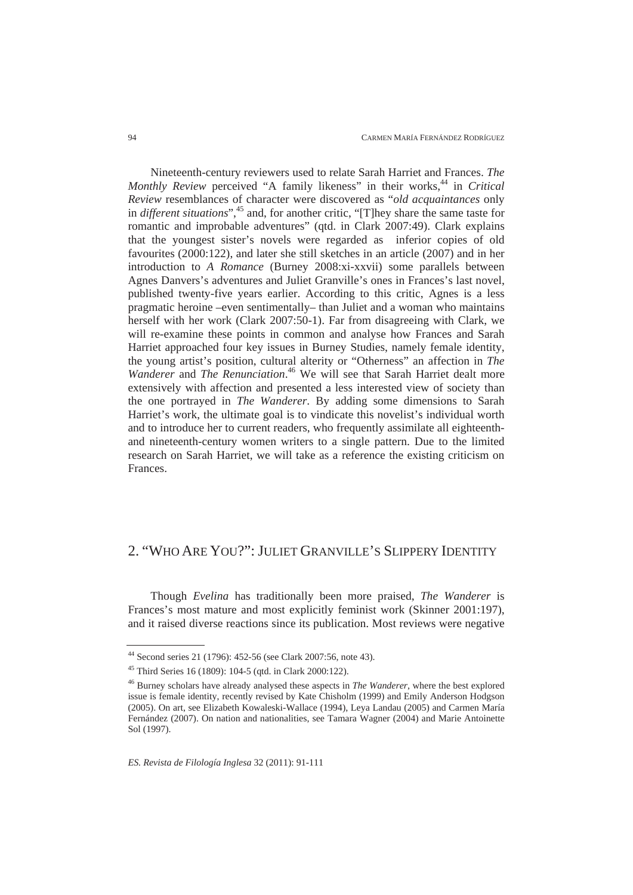Nineteenth-century reviewers used to relate Sarah Harriet and Frances. *The Monthly Review* perceived "A family likeness" in their works,<sup>44</sup> in *Critical Review* resemblances of character were discovered as "*old acquaintances* only in *different situations*",<sup>45</sup> and, for another critic, "[T]hey share the same taste for romantic and improbable adventures" (qtd. in Clark 2007:49). Clark explains that the youngest sister's novels were regarded as inferior copies of old favourites (2000:122), and later she still sketches in an article (2007) and in her introduction to *A Romance* (Burney 2008:xi-xxvii) some parallels between Agnes Danvers's adventures and Juliet Granville's ones in Frances's last novel, published twenty-five years earlier. According to this critic, Agnes is a less pragmatic heroine –even sentimentally– than Juliet and a woman who maintains herself with her work (Clark 2007:50-1). Far from disagreeing with Clark, we will re-examine these points in common and analyse how Frances and Sarah Harriet approached four key issues in Burney Studies, namely female identity, the young artist's position, cultural alterity or "Otherness" an affection in *The Wanderer* and *The Renunciation*. 46 We will see that Sarah Harriet dealt more extensively with affection and presented a less interested view of society than the one portrayed in *The Wanderer*. By adding some dimensions to Sarah Harriet's work, the ultimate goal is to vindicate this novelist's individual worth and to introduce her to current readers, who frequently assimilate all eighteenthand nineteenth-century women writers to a single pattern. Due to the limited research on Sarah Harriet, we will take as a reference the existing criticism on Frances.

## 2. "WHO ARE YOU?": JULIET GRANVILLE'S SLIPPERY IDENTITY

Though *Evelina* has traditionally been more praised, *The Wanderer* is Frances's most mature and most explicitly feminist work (Skinner 2001:197), and it raised diverse reactions since its publication. Most reviews were negative

<sup>44</sup> Second series 21 (1796): 452-56 (see Clark 2007:56, note 43).

<sup>45</sup> Third Series 16 (1809): 104-5 (qtd. in Clark 2000:122).

<sup>46</sup> Burney scholars have already analysed these aspects in *The Wanderer*, where the best explored issue is female identity, recently revised by Kate Chisholm (1999) and Emily Anderson Hodgson (2005). On art, see Elizabeth Kowaleski-Wallace (1994), Leya Landau (2005) and Carmen María Fernández (2007). On nation and nationalities, see Tamara Wagner (2004) and Marie Antoinette Sol (1997).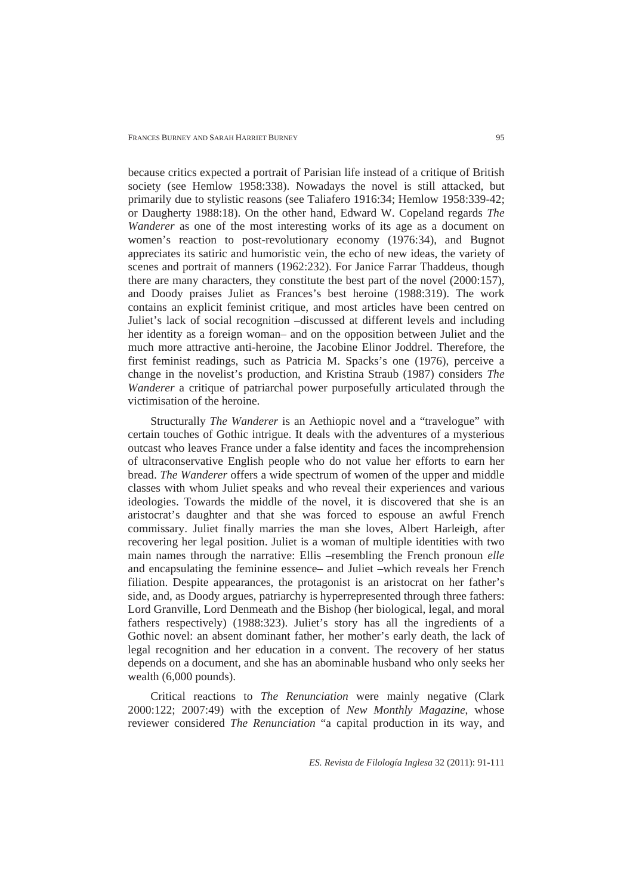because critics expected a portrait of Parisian life instead of a critique of British society (see Hemlow 1958:338). Nowadays the novel is still attacked, but primarily due to stylistic reasons (see Taliafero 1916:34; Hemlow 1958:339-42; or Daugherty 1988:18). On the other hand, Edward W. Copeland regards *The Wanderer* as one of the most interesting works of its age as a document on women's reaction to post-revolutionary economy (1976:34), and Bugnot appreciates its satiric and humoristic vein, the echo of new ideas, the variety of scenes and portrait of manners (1962:232). For Janice Farrar Thaddeus, though there are many characters, they constitute the best part of the novel (2000:157), and Doody praises Juliet as Frances's best heroine (1988:319). The work contains an explicit feminist critique, and most articles have been centred on Juliet's lack of social recognition –discussed at different levels and including her identity as a foreign woman– and on the opposition between Juliet and the much more attractive anti-heroine, the Jacobine Elinor Joddrel. Therefore, the first feminist readings, such as Patricia M. Spacks's one (1976), perceive a change in the novelist's production, and Kristina Straub (1987) considers *The Wanderer* a critique of patriarchal power purposefully articulated through the victimisation of the heroine.

Structurally *The Wanderer* is an Aethiopic novel and a "travelogue" with certain touches of Gothic intrigue. It deals with the adventures of a mysterious outcast who leaves France under a false identity and faces the incomprehension of ultraconservative English people who do not value her efforts to earn her bread. *The Wanderer* offers a wide spectrum of women of the upper and middle classes with whom Juliet speaks and who reveal their experiences and various ideologies. Towards the middle of the novel, it is discovered that she is an aristocrat's daughter and that she was forced to espouse an awful French commissary. Juliet finally marries the man she loves, Albert Harleigh, after recovering her legal position. Juliet is a woman of multiple identities with two main names through the narrative: Ellis –resembling the French pronoun *elle* and encapsulating the feminine essence– and Juliet –which reveals her French filiation. Despite appearances, the protagonist is an aristocrat on her father's side, and, as Doody argues, patriarchy is hyperrepresented through three fathers: Lord Granville, Lord Denmeath and the Bishop (her biological, legal, and moral fathers respectively) (1988:323). Juliet's story has all the ingredients of a Gothic novel: an absent dominant father, her mother's early death, the lack of legal recognition and her education in a convent. The recovery of her status depends on a document, and she has an abominable husband who only seeks her wealth (6,000 pounds).

Critical reactions to *The Renunciation* were mainly negative (Clark 2000:122; 2007:49) with the exception of *New Monthly Magazine*, whose reviewer considered *The Renunciation* "a capital production in its way, and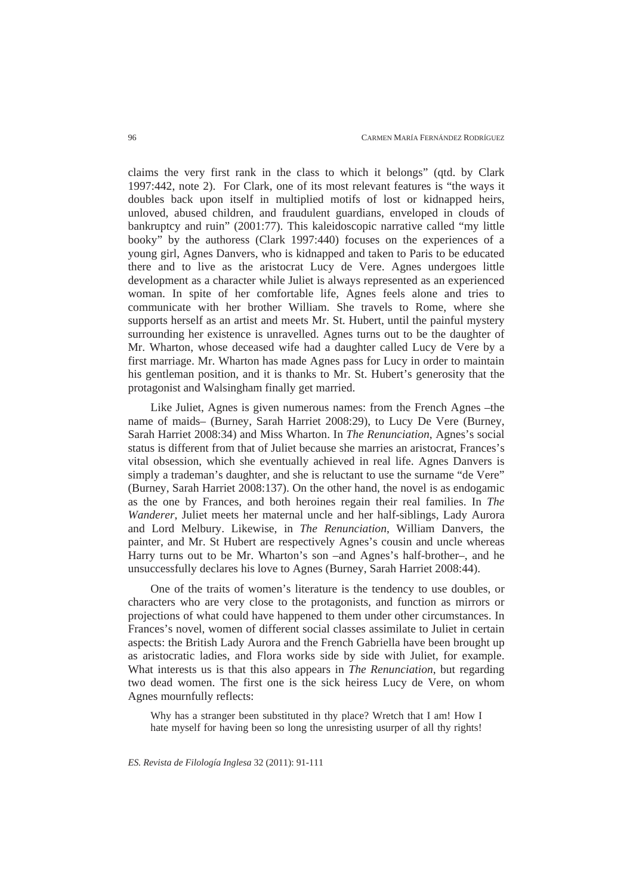claims the very first rank in the class to which it belongs" (qtd. by Clark 1997:442, note 2). For Clark, one of its most relevant features is "the ways it doubles back upon itself in multiplied motifs of lost or kidnapped heirs, unloved, abused children, and fraudulent guardians, enveloped in clouds of bankruptcy and ruin" (2001:77). This kaleidoscopic narrative called "my little booky" by the authoress (Clark 1997:440) focuses on the experiences of a young girl, Agnes Danvers, who is kidnapped and taken to Paris to be educated there and to live as the aristocrat Lucy de Vere. Agnes undergoes little development as a character while Juliet is always represented as an experienced woman. In spite of her comfortable life, Agnes feels alone and tries to communicate with her brother William. She travels to Rome, where she supports herself as an artist and meets Mr. St. Hubert, until the painful mystery surrounding her existence is unravelled. Agnes turns out to be the daughter of Mr. Wharton, whose deceased wife had a daughter called Lucy de Vere by a first marriage. Mr. Wharton has made Agnes pass for Lucy in order to maintain his gentleman position, and it is thanks to Mr. St. Hubert's generosity that the protagonist and Walsingham finally get married.

Like Juliet, Agnes is given numerous names: from the French Agnes –the name of maids– (Burney, Sarah Harriet 2008:29), to Lucy De Vere (Burney, Sarah Harriet 2008:34) and Miss Wharton. In *The Renunciation*, Agnes's social status is different from that of Juliet because she marries an aristocrat, Frances's vital obsession, which she eventually achieved in real life. Agnes Danvers is simply a trademan's daughter, and she is reluctant to use the surname "de Vere" (Burney, Sarah Harriet 2008:137). On the other hand, the novel is as endogamic as the one by Frances, and both heroines regain their real families. In *The Wanderer*, Juliet meets her maternal uncle and her half-siblings, Lady Aurora and Lord Melbury. Likewise, in *The Renunciation*, William Danvers, the painter, and Mr. St Hubert are respectively Agnes's cousin and uncle whereas Harry turns out to be Mr. Wharton's son –and Agnes's half-brother–, and he unsuccessfully declares his love to Agnes (Burney, Sarah Harriet 2008:44).

One of the traits of women's literature is the tendency to use doubles, or characters who are very close to the protagonists, and function as mirrors or projections of what could have happened to them under other circumstances. In Frances's novel, women of different social classes assimilate to Juliet in certain aspects: the British Lady Aurora and the French Gabriella have been brought up as aristocratic ladies, and Flora works side by side with Juliet, for example. What interests us is that this also appears in *The Renunciation*, but regarding two dead women. The first one is the sick heiress Lucy de Vere, on whom Agnes mournfully reflects:

Why has a stranger been substituted in thy place? Wretch that I am! How I hate myself for having been so long the unresisting usurper of all thy rights!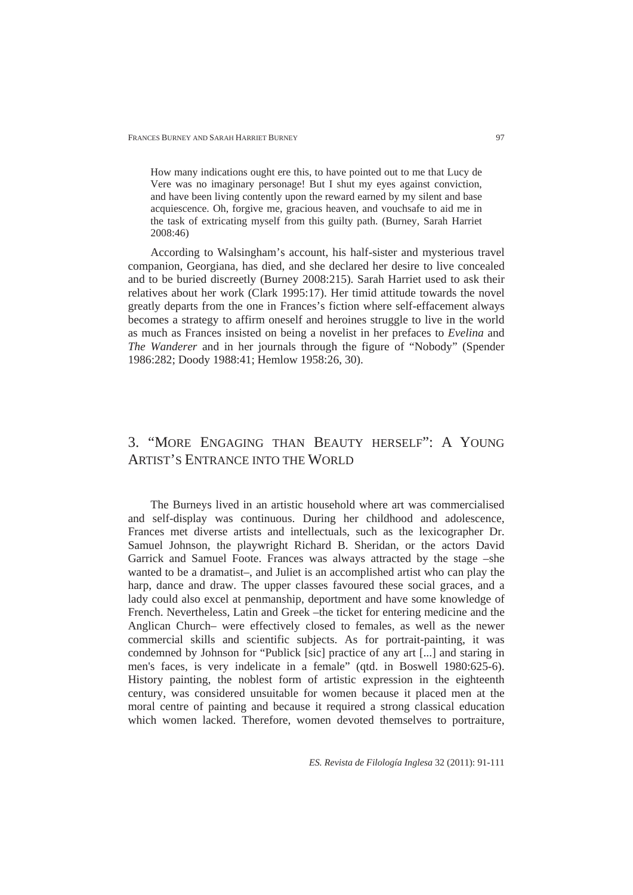How many indications ought ere this, to have pointed out to me that Lucy de Vere was no imaginary personage! But I shut my eyes against conviction, and have been living contently upon the reward earned by my silent and base acquiescence. Oh, forgive me, gracious heaven, and vouchsafe to aid me in the task of extricating myself from this guilty path. (Burney, Sarah Harriet 2008:46)

According to Walsingham's account, his half-sister and mysterious travel companion, Georgiana, has died, and she declared her desire to live concealed and to be buried discreetly (Burney 2008:215). Sarah Harriet used to ask their relatives about her work (Clark 1995:17). Her timid attitude towards the novel greatly departs from the one in Frances's fiction where self-effacement always becomes a strategy to affirm oneself and heroines struggle to live in the world as much as Frances insisted on being a novelist in her prefaces to *Evelina* and *The Wanderer* and in her journals through the figure of "Nobody" (Spender 1986:282; Doody 1988:41; Hemlow 1958:26, 30).

# 3. "MORE ENGAGING THAN BEAUTY HERSELF": A YOUNG ARTIST'S ENTRANCE INTO THE WORLD

The Burneys lived in an artistic household where art was commercialised and self-display was continuous. During her childhood and adolescence, Frances met diverse artists and intellectuals, such as the lexicographer Dr. Samuel Johnson, the playwright Richard B. Sheridan, or the actors David Garrick and Samuel Foote. Frances was always attracted by the stage –she wanted to be a dramatist–, and Juliet is an accomplished artist who can play the harp, dance and draw. The upper classes favoured these social graces, and a lady could also excel at penmanship, deportment and have some knowledge of French. Nevertheless, Latin and Greek –the ticket for entering medicine and the Anglican Church– were effectively closed to females, as well as the newer commercial skills and scientific subjects. As for portrait-painting, it was condemned by Johnson for "Publick [sic] practice of any art [...] and staring in men's faces, is very indelicate in a female" (qtd. in Boswell 1980:625-6). History painting, the noblest form of artistic expression in the eighteenth century, was considered unsuitable for women because it placed men at the moral centre of painting and because it required a strong classical education which women lacked. Therefore, women devoted themselves to portraiture,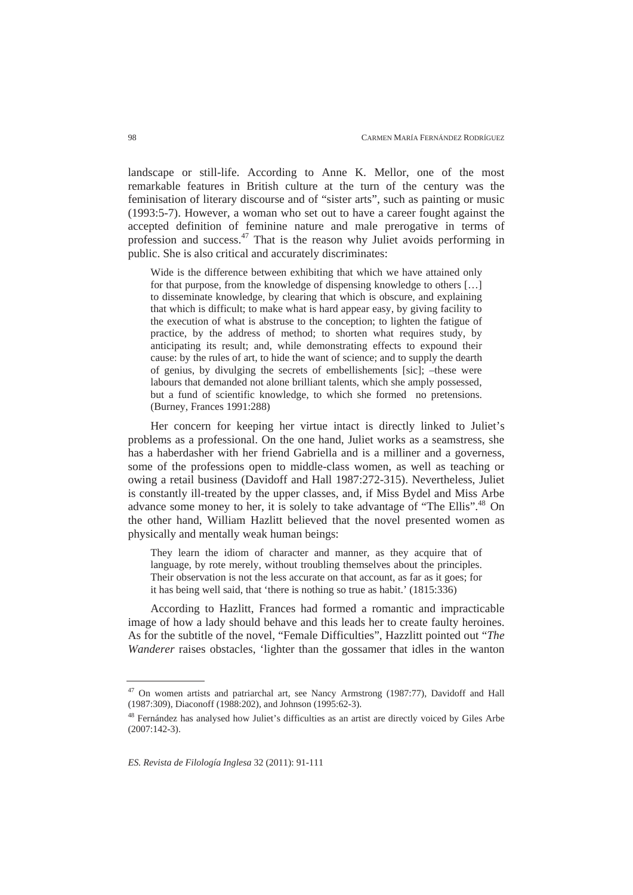landscape or still-life. According to Anne K. Mellor, one of the most remarkable features in British culture at the turn of the century was the feminisation of literary discourse and of "sister arts", such as painting or music (1993:5-7). However, a woman who set out to have a career fought against the accepted definition of feminine nature and male prerogative in terms of profession and success.47 That is the reason why Juliet avoids performing in public. She is also critical and accurately discriminates:

Wide is the difference between exhibiting that which we have attained only for that purpose, from the knowledge of dispensing knowledge to others […] to disseminate knowledge, by clearing that which is obscure, and explaining that which is difficult; to make what is hard appear easy, by giving facility to the execution of what is abstruse to the conception; to lighten the fatigue of practice, by the address of method; to shorten what requires study, by anticipating its result; and, while demonstrating effects to expound their cause: by the rules of art, to hide the want of science; and to supply the dearth of genius, by divulging the secrets of embellishements [sic]; –these were labours that demanded not alone brilliant talents, which she amply possessed, but a fund of scientific knowledge, to which she formed no pretensions. (Burney, Frances 1991:288)

Her concern for keeping her virtue intact is directly linked to Juliet's problems as a professional. On the one hand, Juliet works as a seamstress, she has a haberdasher with her friend Gabriella and is a milliner and a governess, some of the professions open to middle-class women, as well as teaching or owing a retail business (Davidoff and Hall 1987:272-315). Nevertheless, Juliet is constantly ill-treated by the upper classes, and, if Miss Bydel and Miss Arbe advance some money to her, it is solely to take advantage of "The Ellis".<sup>48</sup> On the other hand, William Hazlitt believed that the novel presented women as physically and mentally weak human beings:

They learn the idiom of character and manner, as they acquire that of language, by rote merely, without troubling themselves about the principles. Their observation is not the less accurate on that account, as far as it goes; for it has being well said, that 'there is nothing so true as habit.' (1815:336)

According to Hazlitt, Frances had formed a romantic and impracticable image of how a lady should behave and this leads her to create faulty heroines. As for the subtitle of the novel, "Female Difficulties", Hazzlitt pointed out "*The Wanderer* raises obstacles, 'lighter than the gossamer that idles in the wanton

<sup>47</sup> On women artists and patriarchal art, see Nancy Armstrong (1987:77), Davidoff and Hall (1987:309), Diaconoff (1988:202), and Johnson (1995:62-3).

<sup>48</sup> Fernández has analysed how Juliet's difficulties as an artist are directly voiced by Giles Arbe  $(2007:142-3)$ .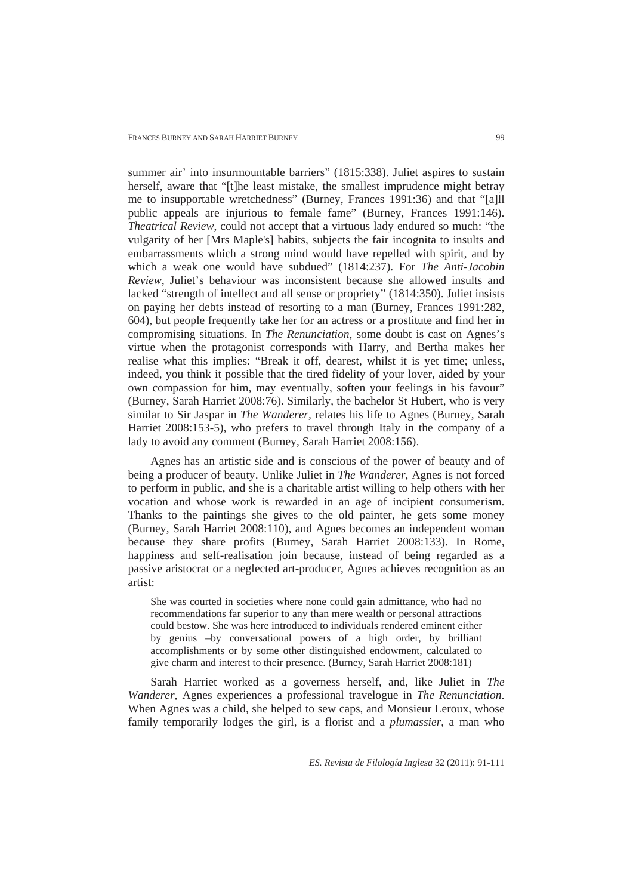summer air' into insurmountable barriers" (1815:338). Juliet aspires to sustain herself, aware that "[t]he least mistake, the smallest imprudence might betray me to insupportable wretchedness" (Burney, Frances 1991:36) and that "[a]ll public appeals are injurious to female fame" (Burney, Frances 1991:146). *Theatrical Review*, could not accept that a virtuous lady endured so much: "the vulgarity of her [Mrs Maple's] habits, subjects the fair incognita to insults and embarrassments which a strong mind would have repelled with spirit, and by which a weak one would have subdued" (1814:237). For *The Anti-Jacobin Review*, Juliet's behaviour was inconsistent because she allowed insults and lacked "strength of intellect and all sense or propriety" (1814:350). Juliet insists on paying her debts instead of resorting to a man (Burney, Frances 1991:282, 604), but people frequently take her for an actress or a prostitute and find her in compromising situations. In *The Renunciation*, some doubt is cast on Agnes's virtue when the protagonist corresponds with Harry, and Bertha makes her realise what this implies: "Break it off, dearest, whilst it is yet time; unless, indeed, you think it possible that the tired fidelity of your lover, aided by your own compassion for him, may eventually, soften your feelings in his favour" (Burney, Sarah Harriet 2008:76). Similarly, the bachelor St Hubert, who is very similar to Sir Jaspar in *The Wanderer,* relates his life to Agnes (Burney, Sarah Harriet 2008:153-5), who prefers to travel through Italy in the company of a lady to avoid any comment (Burney, Sarah Harriet 2008:156).

Agnes has an artistic side and is conscious of the power of beauty and of being a producer of beauty. Unlike Juliet in *The Wanderer*, Agnes is not forced to perform in public, and she is a charitable artist willing to help others with her vocation and whose work is rewarded in an age of incipient consumerism. Thanks to the paintings she gives to the old painter, he gets some money (Burney, Sarah Harriet 2008:110), and Agnes becomes an independent woman because they share profits (Burney, Sarah Harriet 2008:133). In Rome, happiness and self-realisation join because, instead of being regarded as a passive aristocrat or a neglected art-producer, Agnes achieves recognition as an artist:

She was courted in societies where none could gain admittance, who had no recommendations far superior to any than mere wealth or personal attractions could bestow. She was here introduced to individuals rendered eminent either by genius –by conversational powers of a high order, by brilliant accomplishments or by some other distinguished endowment, calculated to give charm and interest to their presence. (Burney, Sarah Harriet 2008:181)

Sarah Harriet worked as a governess herself, and, like Juliet in *The Wanderer*, Agnes experiences a professional travelogue in *The Renunciation*. When Agnes was a child, she helped to sew caps, and Monsieur Leroux, whose family temporarily lodges the girl, is a florist and a *plumassier*, a man who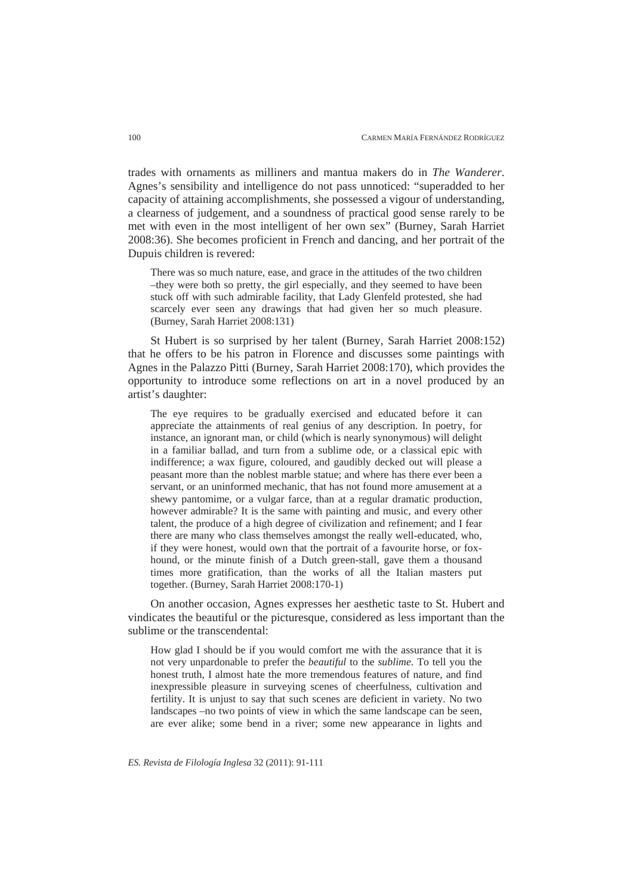trades with ornaments as milliners and mantua makers do in *The Wanderer*. Agnes's sensibility and intelligence do not pass unnoticed: "superadded to her capacity of attaining accomplishments, she possessed a vigour of understanding, a clearness of judgement, and a soundness of practical good sense rarely to be met with even in the most intelligent of her own sex" (Burney, Sarah Harriet 2008:36). She becomes proficient in French and dancing, and her portrait of the Dupuis children is revered:

There was so much nature, ease, and grace in the attitudes of the two children –they were both so pretty, the girl especially, and they seemed to have been stuck off with such admirable facility, that Lady Glenfeld protested, she had scarcely ever seen any drawings that had given her so much pleasure. (Burney, Sarah Harriet 2008:131)

St Hubert is so surprised by her talent (Burney, Sarah Harriet 2008:152) that he offers to be his patron in Florence and discusses some paintings with Agnes in the Palazzo Pitti (Burney, Sarah Harriet 2008:170), which provides the opportunity to introduce some reflections on art in a novel produced by an artist's daughter:

The eye requires to be gradually exercised and educated before it can appreciate the attainments of real genius of any description. In poetry, for instance, an ignorant man, or child (which is nearly synonymous) will delight in a familiar ballad, and turn from a sublime ode, or a classical epic with indifference; a wax figure, coloured, and gaudibly decked out will please a peasant more than the noblest marble statue; and where has there ever been a servant, or an uninformed mechanic, that has not found more amusement at a shewy pantomime, or a vulgar farce, than at a regular dramatic production, however admirable? It is the same with painting and music, and every other talent, the produce of a high degree of civilization and refinement; and I fear there are many who class themselves amongst the really well-educated, who, if they were honest, would own that the portrait of a favourite horse, or foxhound, or the minute finish of a Dutch green-stall, gave them a thousand times more gratification, than the works of all the Italian masters put together. (Burney, Sarah Harriet 2008:170-1)

On another occasion, Agnes expresses her aesthetic taste to St. Hubert and vindicates the beautiful or the picturesque, considered as less important than the sublime or the transcendental:

How glad I should be if you would comfort me with the assurance that it is not very unpardonable to prefer the *beautiful* to the *sublime*. To tell you the honest truth, I almost hate the more tremendous features of nature, and find inexpressible pleasure in surveying scenes of cheerfulness, cultivation and fertility. It is unjust to say that such scenes are deficient in variety. No two landscapes –no two points of view in which the same landscape can be seen, are ever alike; some bend in a river; some new appearance in lights and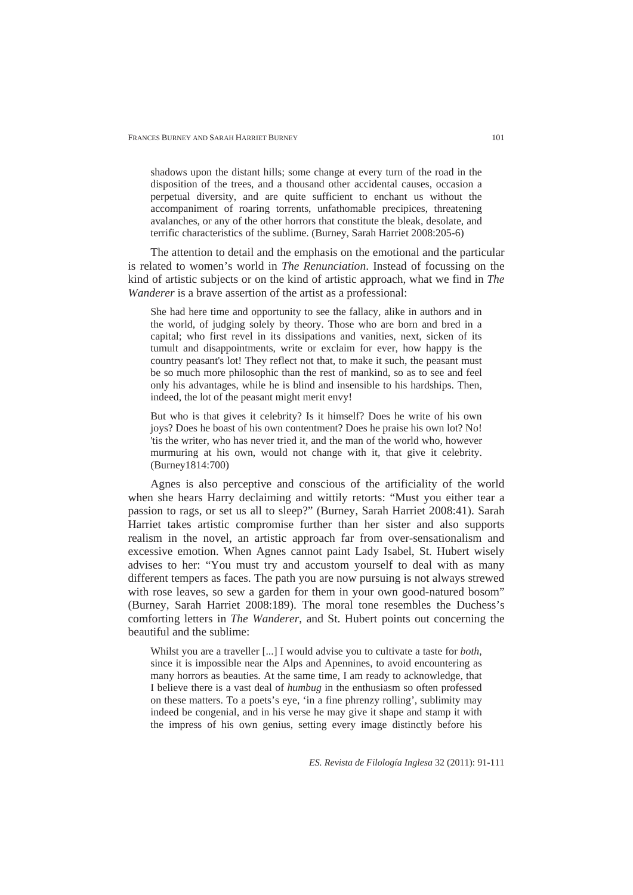shadows upon the distant hills; some change at every turn of the road in the disposition of the trees, and a thousand other accidental causes, occasion a perpetual diversity, and are quite sufficient to enchant us without the accompaniment of roaring torrents, unfathomable precipices, threatening avalanches, or any of the other horrors that constitute the bleak, desolate, and terrific characteristics of the sublime. (Burney, Sarah Harriet 2008:205-6)

The attention to detail and the emphasis on the emotional and the particular is related to women's world in *The Renunciation*. Instead of focussing on the kind of artistic subjects or on the kind of artistic approach, what we find in *The Wanderer* is a brave assertion of the artist as a professional:

She had here time and opportunity to see the fallacy, alike in authors and in the world, of judging solely by theory. Those who are born and bred in a capital; who first revel in its dissipations and vanities, next, sicken of its tumult and disappointments, write or exclaim for ever, how happy is the country peasant's lot! They reflect not that, to make it such, the peasant must be so much more philosophic than the rest of mankind, so as to see and feel only his advantages, while he is blind and insensible to his hardships. Then, indeed, the lot of the peasant might merit envy!

But who is that gives it celebrity? Is it himself? Does he write of his own joys? Does he boast of his own contentment? Does he praise his own lot? No! 'tis the writer, who has never tried it, and the man of the world who, however murmuring at his own, would not change with it, that give it celebrity. (Burney1814:700)

Agnes is also perceptive and conscious of the artificiality of the world when she hears Harry declaiming and wittily retorts: "Must you either tear a passion to rags, or set us all to sleep?" (Burney, Sarah Harriet 2008:41). Sarah Harriet takes artistic compromise further than her sister and also supports realism in the novel, an artistic approach far from over-sensationalism and excessive emotion. When Agnes cannot paint Lady Isabel, St. Hubert wisely advises to her: "You must try and accustom yourself to deal with as many different tempers as faces. The path you are now pursuing is not always strewed with rose leaves, so sew a garden for them in your own good-natured bosom" (Burney, Sarah Harriet 2008:189). The moral tone resembles the Duchess's comforting letters in *The Wanderer*, and St. Hubert points out concerning the beautiful and the sublime:

Whilst you are a traveller [...] I would advise you to cultivate a taste for *both*, since it is impossible near the Alps and Apennines, to avoid encountering as many horrors as beauties. At the same time, I am ready to acknowledge, that I believe there is a vast deal of *humbug* in the enthusiasm so often professed on these matters. To a poets's eye, 'in a fine phrenzy rolling', sublimity may indeed be congenial, and in his verse he may give it shape and stamp it with the impress of his own genius, setting every image distinctly before his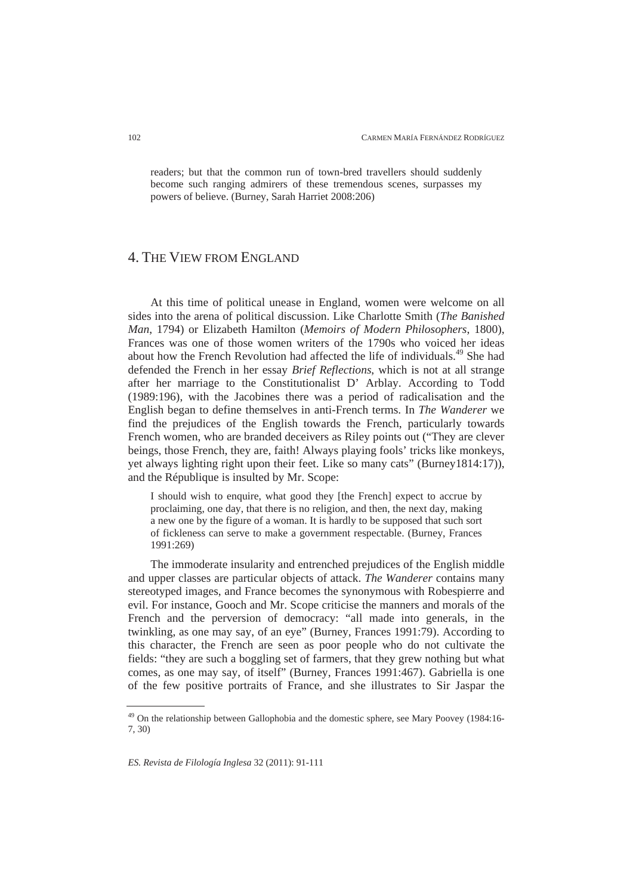readers; but that the common run of town-bred travellers should suddenly become such ranging admirers of these tremendous scenes, surpasses my powers of believe. (Burney, Sarah Harriet 2008:206)

## 4. THE VIEW FROM ENGLAND

At this time of political unease in England, women were welcome on all sides into the arena of political discussion. Like Charlotte Smith (*The Banished Man*, 1794) or Elizabeth Hamilton (*Memoirs of Modern Philosophers*, 1800), Frances was one of those women writers of the 1790s who voiced her ideas about how the French Revolution had affected the life of individuals.49 She had defended the French in her essay *Brief Reflections*, which is not at all strange after her marriage to the Constitutionalist D' Arblay. According to Todd (1989:196), with the Jacobines there was a period of radicalisation and the English began to define themselves in anti-French terms. In *The Wanderer* we find the prejudices of the English towards the French, particularly towards French women, who are branded deceivers as Riley points out ("They are clever beings, those French, they are, faith! Always playing fools' tricks like monkeys, yet always lighting right upon their feet. Like so many cats" (Burney1814:17)), and the République is insulted by Mr. Scope:

I should wish to enquire, what good they [the French] expect to accrue by proclaiming, one day, that there is no religion, and then, the next day, making a new one by the figure of a woman. It is hardly to be supposed that such sort of fickleness can serve to make a government respectable. (Burney, Frances 1991:269)

The immoderate insularity and entrenched prejudices of the English middle and upper classes are particular objects of attack. *The Wanderer* contains many stereotyped images, and France becomes the synonymous with Robespierre and evil. For instance, Gooch and Mr. Scope criticise the manners and morals of the French and the perversion of democracy: "all made into generals, in the twinkling, as one may say, of an eye" (Burney, Frances 1991:79). According to this character, the French are seen as poor people who do not cultivate the fields: "they are such a boggling set of farmers, that they grew nothing but what comes, as one may say, of itself" (Burney, Frances 1991:467). Gabriella is one of the few positive portraits of France, and she illustrates to Sir Jaspar the

<sup>&</sup>lt;sup>49</sup> On the relationship between Gallophobia and the domestic sphere, see Mary Poovey (1984:16-7, 30)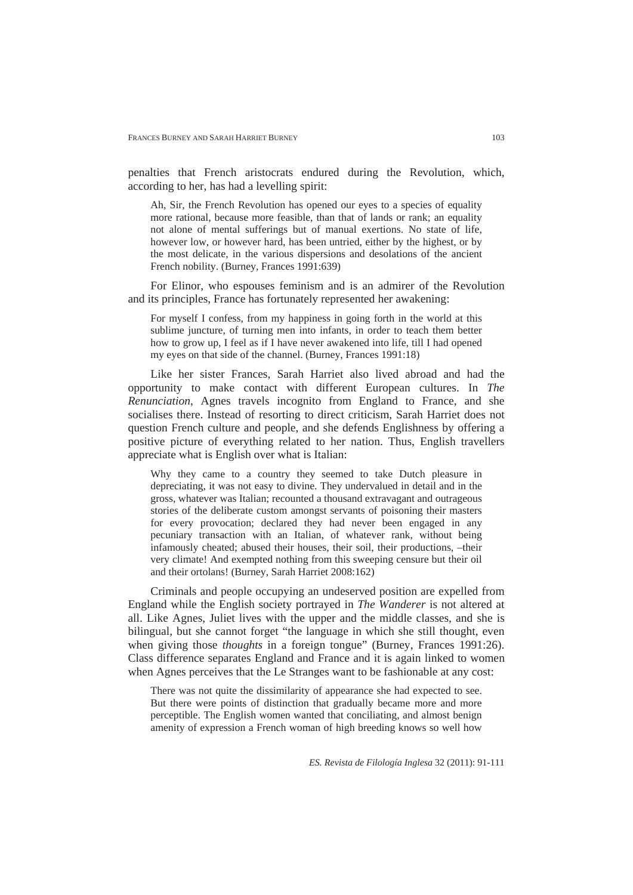penalties that French aristocrats endured during the Revolution, which, according to her, has had a levelling spirit:

Ah, Sir, the French Revolution has opened our eyes to a species of equality more rational, because more feasible, than that of lands or rank; an equality not alone of mental sufferings but of manual exertions. No state of life, however low, or however hard, has been untried, either by the highest, or by the most delicate, in the various dispersions and desolations of the ancient French nobility. (Burney, Frances 1991:639)

For Elinor, who espouses feminism and is an admirer of the Revolution and its principles, France has fortunately represented her awakening:

For myself I confess, from my happiness in going forth in the world at this sublime juncture, of turning men into infants, in order to teach them better how to grow up, I feel as if I have never awakened into life, till I had opened my eyes on that side of the channel. (Burney, Frances 1991:18)

Like her sister Frances, Sarah Harriet also lived abroad and had the opportunity to make contact with different European cultures. In *The Renunciation*, Agnes travels incognito from England to France, and she socialises there. Instead of resorting to direct criticism, Sarah Harriet does not question French culture and people, and she defends Englishness by offering a positive picture of everything related to her nation. Thus, English travellers appreciate what is English over what is Italian:

Why they came to a country they seemed to take Dutch pleasure in depreciating, it was not easy to divine. They undervalued in detail and in the gross, whatever was Italian; recounted a thousand extravagant and outrageous stories of the deliberate custom amongst servants of poisoning their masters for every provocation; declared they had never been engaged in any pecuniary transaction with an Italian, of whatever rank, without being infamously cheated; abused their houses, their soil, their productions, –their very climate! And exempted nothing from this sweeping censure but their oil and their ortolans! (Burney, Sarah Harriet 2008:162)

Criminals and people occupying an undeserved position are expelled from England while the English society portrayed in *The Wanderer* is not altered at all. Like Agnes, Juliet lives with the upper and the middle classes, and she is bilingual, but she cannot forget "the language in which she still thought, even when giving those *thoughts* in a foreign tongue" (Burney, Frances 1991:26). Class difference separates England and France and it is again linked to women when Agnes perceives that the Le Stranges want to be fashionable at any cost:

There was not quite the dissimilarity of appearance she had expected to see. But there were points of distinction that gradually became more and more perceptible. The English women wanted that conciliating, and almost benign amenity of expression a French woman of high breeding knows so well how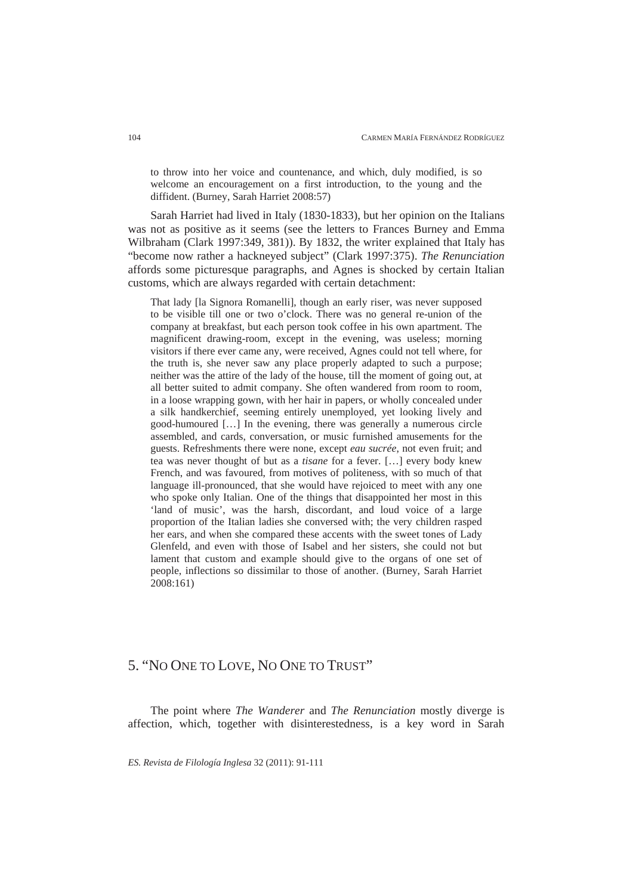to throw into her voice and countenance, and which, duly modified, is so welcome an encouragement on a first introduction, to the young and the diffident. (Burney, Sarah Harriet 2008:57)

Sarah Harriet had lived in Italy (1830-1833), but her opinion on the Italians was not as positive as it seems (see the letters to Frances Burney and Emma Wilbraham (Clark 1997:349, 381)). By 1832, the writer explained that Italy has "become now rather a hackneyed subject" (Clark 1997:375). *The Renunciation* affords some picturesque paragraphs, and Agnes is shocked by certain Italian customs, which are always regarded with certain detachment:

That lady [la Signora Romanelli], though an early riser, was never supposed to be visible till one or two o'clock. There was no general re-union of the company at breakfast, but each person took coffee in his own apartment. The magnificent drawing-room, except in the evening, was useless; morning visitors if there ever came any, were received, Agnes could not tell where, for the truth is, she never saw any place properly adapted to such a purpose; neither was the attire of the lady of the house, till the moment of going out, at all better suited to admit company. She often wandered from room to room, in a loose wrapping gown, with her hair in papers, or wholly concealed under a silk handkerchief, seeming entirely unemployed, yet looking lively and good-humoured […] In the evening, there was generally a numerous circle assembled, and cards, conversation, or music furnished amusements for the guests. Refreshments there were none, except *eau sucrée*, not even fruit; and tea was never thought of but as a *tisane* for a fever. […] every body knew French, and was favoured, from motives of politeness, with so much of that language ill-pronounced, that she would have rejoiced to meet with any one who spoke only Italian. One of the things that disappointed her most in this 'land of music', was the harsh, discordant, and loud voice of a large proportion of the Italian ladies she conversed with; the very children rasped her ears, and when she compared these accents with the sweet tones of Lady Glenfeld, and even with those of Isabel and her sisters, she could not but lament that custom and example should give to the organs of one set of people, inflections so dissimilar to those of another. (Burney, Sarah Harriet 2008:161)

## 5. "NO ONE TO LOVE, NO ONE TO TRUST"

The point where *The Wanderer* and *The Renunciation* mostly diverge is affection, which, together with disinterestedness, is a key word in Sarah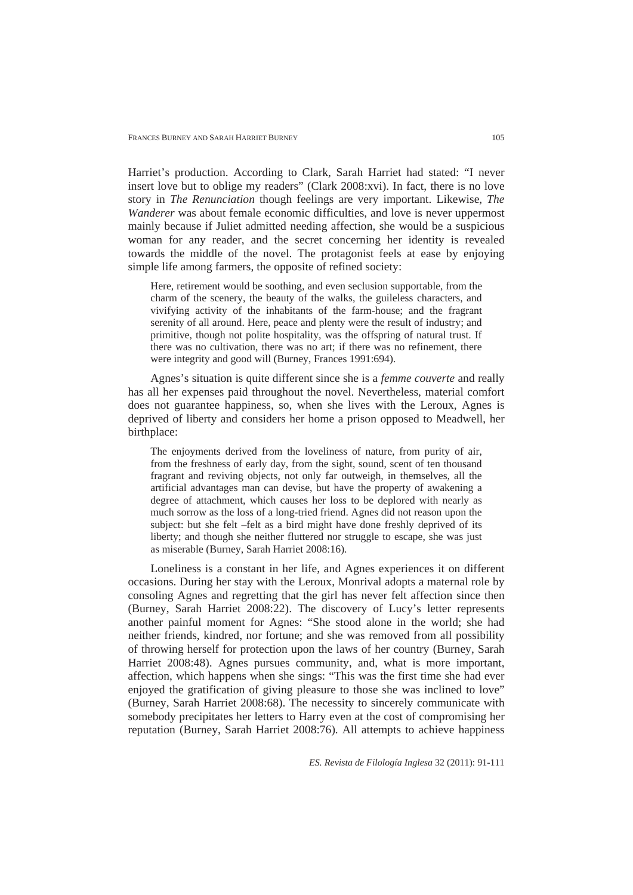Harriet's production. According to Clark, Sarah Harriet had stated: "I never insert love but to oblige my readers" (Clark 2008:xvi). In fact, there is no love story in *The Renunciation* though feelings are very important. Likewise, *The Wanderer* was about female economic difficulties, and love is never uppermost mainly because if Juliet admitted needing affection, she would be a suspicious woman for any reader, and the secret concerning her identity is revealed towards the middle of the novel. The protagonist feels at ease by enjoying simple life among farmers, the opposite of refined society:

Here, retirement would be soothing, and even seclusion supportable, from the charm of the scenery, the beauty of the walks, the guileless characters, and vivifying activity of the inhabitants of the farm-house; and the fragrant serenity of all around. Here, peace and plenty were the result of industry; and primitive, though not polite hospitality, was the offspring of natural trust. If there was no cultivation, there was no art; if there was no refinement, there were integrity and good will (Burney, Frances 1991:694).

Agnes's situation is quite different since she is a *femme couverte* and really has all her expenses paid throughout the novel. Nevertheless, material comfort does not guarantee happiness, so, when she lives with the Leroux, Agnes is deprived of liberty and considers her home a prison opposed to Meadwell, her birthplace:

The enjoyments derived from the loveliness of nature, from purity of air, from the freshness of early day, from the sight, sound, scent of ten thousand fragrant and reviving objects, not only far outweigh, in themselves, all the artificial advantages man can devise, but have the property of awakening a degree of attachment, which causes her loss to be deplored with nearly as much sorrow as the loss of a long-tried friend. Agnes did not reason upon the subject: but she felt –felt as a bird might have done freshly deprived of its liberty; and though she neither fluttered nor struggle to escape, she was just as miserable (Burney, Sarah Harriet 2008:16).

Loneliness is a constant in her life, and Agnes experiences it on different occasions. During her stay with the Leroux, Monrival adopts a maternal role by consoling Agnes and regretting that the girl has never felt affection since then (Burney, Sarah Harriet 2008:22). The discovery of Lucy's letter represents another painful moment for Agnes: "She stood alone in the world; she had neither friends, kindred, nor fortune; and she was removed from all possibility of throwing herself for protection upon the laws of her country (Burney, Sarah Harriet 2008:48). Agnes pursues community, and, what is more important, affection, which happens when she sings: "This was the first time she had ever enjoyed the gratification of giving pleasure to those she was inclined to love" (Burney, Sarah Harriet 2008:68). The necessity to sincerely communicate with somebody precipitates her letters to Harry even at the cost of compromising her reputation (Burney, Sarah Harriet 2008:76). All attempts to achieve happiness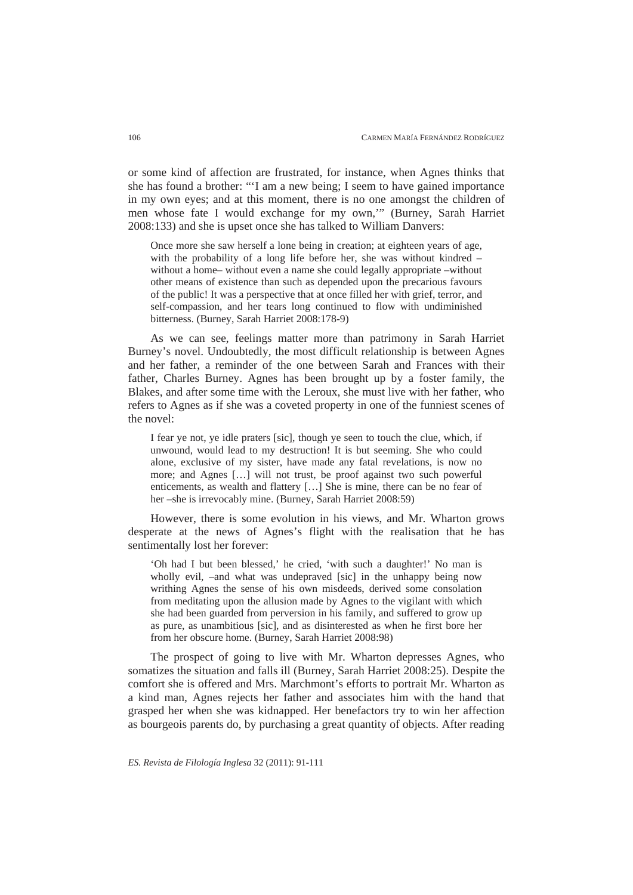or some kind of affection are frustrated, for instance, when Agnes thinks that she has found a brother: "'I am a new being; I seem to have gained importance in my own eyes; and at this moment, there is no one amongst the children of men whose fate I would exchange for my own,'" (Burney, Sarah Harriet 2008:133) and she is upset once she has talked to William Danvers:

Once more she saw herself a lone being in creation; at eighteen years of age, with the probability of a long life before her, she was without kindred – without a home– without even a name she could legally appropriate –without other means of existence than such as depended upon the precarious favours of the public! It was a perspective that at once filled her with grief, terror, and self-compassion, and her tears long continued to flow with undiminished bitterness. (Burney, Sarah Harriet 2008:178-9)

As we can see, feelings matter more than patrimony in Sarah Harriet Burney's novel. Undoubtedly, the most difficult relationship is between Agnes and her father, a reminder of the one between Sarah and Frances with their father, Charles Burney. Agnes has been brought up by a foster family, the Blakes, and after some time with the Leroux, she must live with her father, who refers to Agnes as if she was a coveted property in one of the funniest scenes of the novel:

I fear ye not, ye idle praters [sic], though ye seen to touch the clue, which, if unwound, would lead to my destruction! It is but seeming. She who could alone, exclusive of my sister, have made any fatal revelations, is now no more; and Agnes […] will not trust, be proof against two such powerful enticements, as wealth and flattery […] She is mine, there can be no fear of her –she is irrevocably mine. (Burney, Sarah Harriet 2008:59)

However, there is some evolution in his views, and Mr. Wharton grows desperate at the news of Agnes's flight with the realisation that he has sentimentally lost her forever:

'Oh had I but been blessed,' he cried, 'with such a daughter!' No man is wholly evil, –and what was undepraved [sic] in the unhappy being now writhing Agnes the sense of his own misdeeds, derived some consolation from meditating upon the allusion made by Agnes to the vigilant with which she had been guarded from perversion in his family, and suffered to grow up as pure, as unambitious [sic], and as disinterested as when he first bore her from her obscure home. (Burney, Sarah Harriet 2008:98)

The prospect of going to live with Mr. Wharton depresses Agnes, who somatizes the situation and falls ill (Burney, Sarah Harriet 2008:25). Despite the comfort she is offered and Mrs. Marchmont's efforts to portrait Mr. Wharton as a kind man, Agnes rejects her father and associates him with the hand that grasped her when she was kidnapped. Her benefactors try to win her affection as bourgeois parents do, by purchasing a great quantity of objects. After reading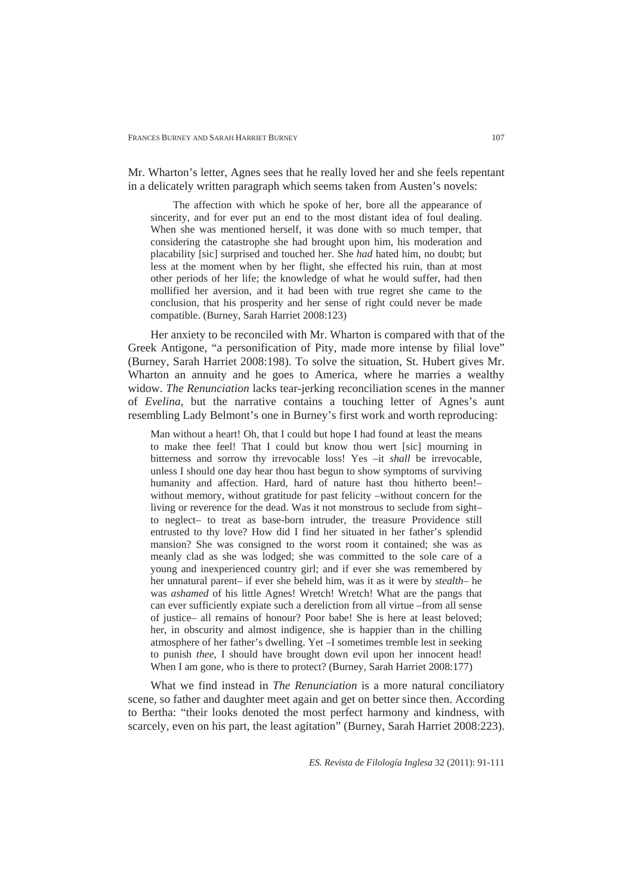Mr. Wharton's letter, Agnes sees that he really loved her and she feels repentant in a delicately written paragraph which seems taken from Austen's novels:

The affection with which he spoke of her, bore all the appearance of sincerity, and for ever put an end to the most distant idea of foul dealing. When she was mentioned herself, it was done with so much temper, that considering the catastrophe she had brought upon him, his moderation and placability [sic] surprised and touched her. She *had* hated him, no doubt; but less at the moment when by her flight, she effected his ruin, than at most other periods of her life; the knowledge of what he would suffer, had then mollified her aversion, and it had been with true regret she came to the conclusion, that his prosperity and her sense of right could never be made compatible. (Burney, Sarah Harriet 2008:123)

Her anxiety to be reconciled with Mr. Wharton is compared with that of the Greek Antigone, "a personification of Pity, made more intense by filial love" (Burney, Sarah Harriet 2008:198). To solve the situation, St. Hubert gives Mr. Wharton an annuity and he goes to America, where he marries a wealthy widow. *The Renunciation* lacks tear-jerking reconciliation scenes in the manner of *Evelina*, but the narrative contains a touching letter of Agnes's aunt resembling Lady Belmont's one in Burney's first work and worth reproducing:

Man without a heart! Oh, that I could but hope I had found at least the means to make thee feel! That I could but know thou wert [sic] mourning in bitterness and sorrow thy irrevocable loss! Yes –it *shall* be irrevocable, unless I should one day hear thou hast begun to show symptoms of surviving humanity and affection. Hard, hard of nature hast thou hitherto been!– without memory, without gratitude for past felicity –without concern for the living or reverence for the dead. Was it not monstrous to seclude from sight– to neglect– to treat as base-born intruder, the treasure Providence still entrusted to thy love? How did I find her situated in her father's splendid mansion? She was consigned to the worst room it contained; she was as meanly clad as she was lodged; she was committed to the sole care of a young and inexperienced country girl; and if ever she was remembered by her unnatural parent– if ever she beheld him, was it as it were by *stealth*– he was *ashamed* of his little Agnes! Wretch! Wretch! What are the pangs that can ever sufficiently expiate such a dereliction from all virtue –from all sense of justice– all remains of honour? Poor babe! She is here at least beloved; her, in obscurity and almost indigence, she is happier than in the chilling atmosphere of her father's dwelling. Yet –I sometimes tremble lest in seeking to punish *thee*, I should have brought down evil upon her innocent head! When I am gone, who is there to protect? (Burney, Sarah Harriet 2008:177)

What we find instead in *The Renunciation* is a more natural conciliatory scene, so father and daughter meet again and get on better since then. According to Bertha: "their looks denoted the most perfect harmony and kindness, with scarcely, even on his part, the least agitation" (Burney, Sarah Harriet 2008:223).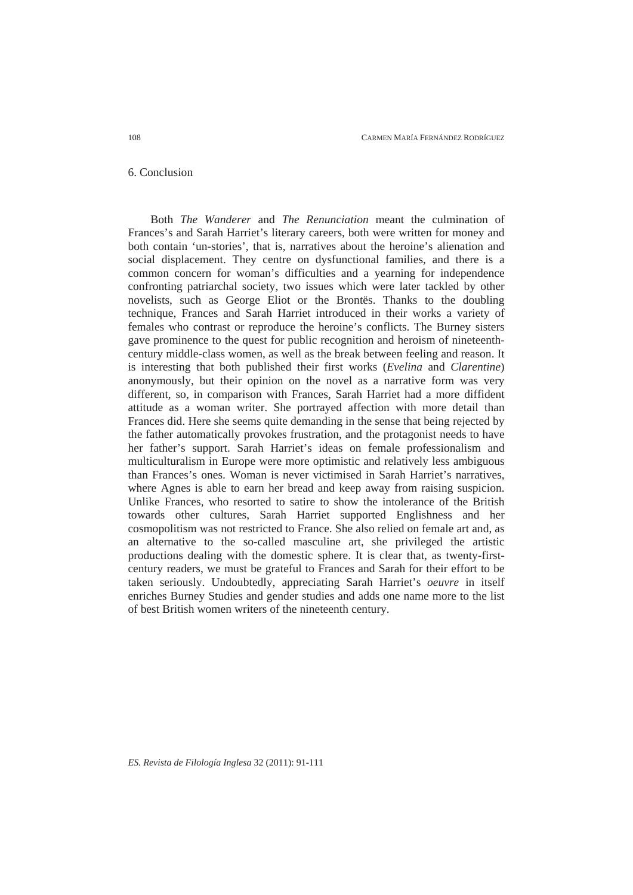### 6. Conclusion

Both *The Wanderer* and *The Renunciation* meant the culmination of Frances's and Sarah Harriet's literary careers, both were written for money and both contain 'un-stories', that is, narratives about the heroine's alienation and social displacement. They centre on dysfunctional families, and there is a common concern for woman's difficulties and a yearning for independence confronting patriarchal society, two issues which were later tackled by other novelists, such as George Eliot or the Brontës. Thanks to the doubling technique, Frances and Sarah Harriet introduced in their works a variety of females who contrast or reproduce the heroine's conflicts. The Burney sisters gave prominence to the quest for public recognition and heroism of nineteenthcentury middle-class women, as well as the break between feeling and reason. It is interesting that both published their first works (*Evelina* and *Clarentine*) anonymously, but their opinion on the novel as a narrative form was very different, so, in comparison with Frances, Sarah Harriet had a more diffident attitude as a woman writer. She portrayed affection with more detail than Frances did. Here she seems quite demanding in the sense that being rejected by the father automatically provokes frustration, and the protagonist needs to have her father's support. Sarah Harriet's ideas on female professionalism and multiculturalism in Europe were more optimistic and relatively less ambiguous than Frances's ones. Woman is never victimised in Sarah Harriet's narratives, where Agnes is able to earn her bread and keep away from raising suspicion. Unlike Frances, who resorted to satire to show the intolerance of the British towards other cultures, Sarah Harriet supported Englishness and her cosmopolitism was not restricted to France. She also relied on female art and, as an alternative to the so-called masculine art, she privileged the artistic productions dealing with the domestic sphere. It is clear that, as twenty-firstcentury readers, we must be grateful to Frances and Sarah for their effort to be taken seriously. Undoubtedly, appreciating Sarah Harriet's *oeuvre* in itself enriches Burney Studies and gender studies and adds one name more to the list of best British women writers of the nineteenth century.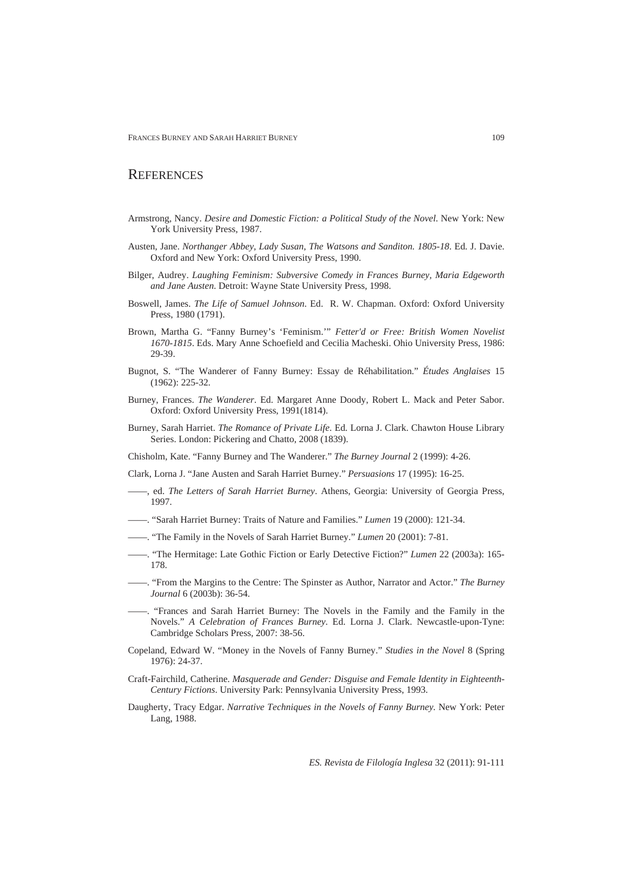FRANCES BURNEY AND SARAH HARRIET BURNEY

### **REFERENCES**

- Armstrong, Nancy. *Desire and Domestic Fiction: a Political Study of the Novel*. New York: New York University Press, 1987.
- Austen, Jane. *Northanger Abbey, Lady Susan, The Watsons and Sanditon. 1805-18*. Ed. J. Davie. Oxford and New York: Oxford University Press, 1990.
- Bilger, Audrey. *Laughing Feminism: Subversive Comedy in Frances Burney, Maria Edgeworth and Jane Austen*. Detroit: Wayne State University Press, 1998.
- Boswell, James. *The Life of Samuel Johnson*. Ed. R. W. Chapman. Oxford: Oxford University Press, 1980 (1791).
- Brown, Martha G. "Fanny Burney's 'Feminism.'" *Fetter'd or Free: British Women Novelist 1670-1815*. Eds. Mary Anne Schoefield and Cecilia Macheski. Ohio University Press, 1986: 29-39.
- Bugnot, S. "The Wanderer of Fanny Burney: Essay de Réhabilitation." *Études Anglaises* 15 (1962): 225-32.
- Burney, Frances. *The Wanderer*. Ed. Margaret Anne Doody, Robert L. Mack and Peter Sabor. Oxford: Oxford University Press, 1991(1814).
- Burney, Sarah Harriet. *The Romance of Private Life*. Ed. Lorna J. Clark. Chawton House Library Series. London: Pickering and Chatto, 2008 (1839).
- Chisholm, Kate. "Fanny Burney and The Wanderer." *The Burney Journal* 2 (1999): 4-26.
- Clark, Lorna J. "Jane Austen and Sarah Harriet Burney." *Persuasions* 17 (1995): 16-25.
- ——, ed. *The Letters of Sarah Harriet Burney*. Athens, Georgia: University of Georgia Press, 1997.
- ——. "Sarah Harriet Burney: Traits of Nature and Families." *Lumen* 19 (2000): 121-34.
- ——. "The Family in the Novels of Sarah Harriet Burney." *Lumen* 20 (2001): 7-81.
- ——. "The Hermitage: Late Gothic Fiction or Early Detective Fiction?" *Lumen* 22 (2003a): 165- 178.
- ——. "From the Margins to the Centre: The Spinster as Author, Narrator and Actor." *The Burney Journal* 6 (2003b): 36-54.
- ——. "Frances and Sarah Harriet Burney: The Novels in the Family and the Family in the Novels." *A Celebration of Frances Burney*. Ed. Lorna J. Clark. Newcastle-upon-Tyne: Cambridge Scholars Press, 2007: 38-56.
- Copeland, Edward W. "Money in the Novels of Fanny Burney." *Studies in the Novel* 8 (Spring 1976): 24-37.
- Craft-Fairchild, Catherine. *Masquerade and Gender: Disguise and Female Identity in Eighteenth-Century Fictions*. University Park: Pennsylvania University Press, 1993.
- Daugherty, Tracy Edgar. *Narrative Techniques in the Novels of Fanny Burney*. New York: Peter Lang, 1988.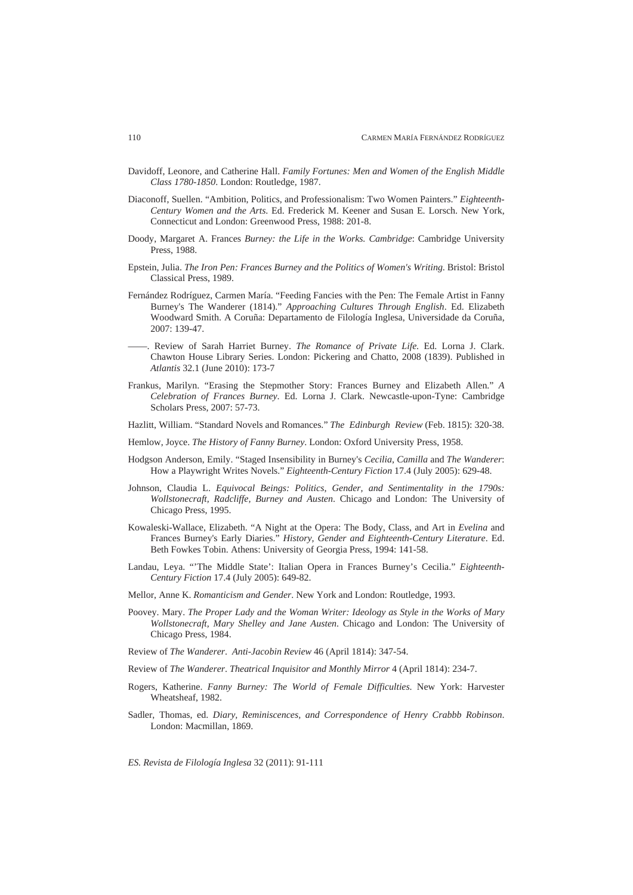- Davidoff, Leonore, and Catherine Hall. *Family Fortunes: Men and Women of the English Middle Class 1780-1850*. London: Routledge, 1987.
- Diaconoff, Suellen. "Ambition, Politics, and Professionalism: Two Women Painters." *Eighteenth-Century Women and the Arts*. Ed. Frederick M. Keener and Susan E. Lorsch. New York, Connecticut and London: Greenwood Press, 1988: 201-8.
- Doody, Margaret A. Frances *Burney: the Life in the Works. Cambridge*: Cambridge University Press, 1988.
- Epstein, Julia. *The Iron Pen: Frances Burney and the Politics of Women's Writing*. Bristol: Bristol Classical Press, 1989.
- Fernández Rodríguez, Carmen María. "Feeding Fancies with the Pen: The Female Artist in Fanny Burney's The Wanderer (1814)." *Approaching Cultures Through English*. Ed. Elizabeth Woodward Smith. A Coruña: Departamento de Filología Inglesa, Universidade da Coruña, 2007: 139-47.
- ——. Review of Sarah Harriet Burney. *The Romance of Private Life*. Ed. Lorna J. Clark. Chawton House Library Series. London: Pickering and Chatto, 2008 (1839). Published in *Atlantis* 32.1 (June 2010): 173-7
- Frankus, Marilyn. "Erasing the Stepmother Story: Frances Burney and Elizabeth Allen." *A Celebration of Frances Burney*. Ed. Lorna J. Clark. Newcastle-upon-Tyne: Cambridge Scholars Press, 2007: 57-73.
- Hazlitt, William. "Standard Novels and Romances." *The Edinburgh Review* (Feb. 1815): 320-38.
- Hemlow, Joyce. *The History of Fanny Burney*. London: Oxford University Press, 1958.
- Hodgson Anderson, Emily. "Staged Insensibility in Burney's *Cecilia*, *Camilla* and *The Wanderer*: How a Playwright Writes Novels." *Eighteenth-Century Fiction* 17.4 (July 2005): 629-48.
- Johnson, Claudia L. *Equivocal Beings: Politics, Gender, and Sentimentality in the 1790s: Wollstonecraft, Radcliffe, Burney and Austen*. Chicago and London: The University of Chicago Press, 1995.
- Kowaleski-Wallace, Elizabeth. "A Night at the Opera: The Body, Class, and Art in *Evelina* and Frances Burney's Early Diaries." *History, Gender and Eighteenth-Century Literature*. Ed. Beth Fowkes Tobin. Athens: University of Georgia Press, 1994: 141-58.
- Landau, Leya. "'The Middle State': Italian Opera in Frances Burney's Cecilia." *Eighteenth-Century Fiction* 17.4 (July 2005): 649-82.
- Mellor, Anne K. *Romanticism and Gender*. New York and London: Routledge, 1993.
- Poovey. Mary. *The Proper Lady and the Woman Writer: Ideology as Style in the Works of Mary Wollstonecraft, Mary Shelley and Jane Austen*. Chicago and London: The University of Chicago Press, 1984.
- Review of *The Wanderer*. *Anti-Jacobin Review* 46 (April 1814): 347-54.
- Review of *The Wanderer*. *Theatrical Inquisitor and Monthly Mirror* 4 (April 1814): 234-7.
- Rogers, Katherine. *Fanny Burney: The World of Female Difficulties*. New York: Harvester Wheatsheaf, 1982.
- Sadler, Thomas, ed. *Diary, Reminiscences, and Correspondence of Henry Crabbb Robinson*. London: Macmillan, 1869.